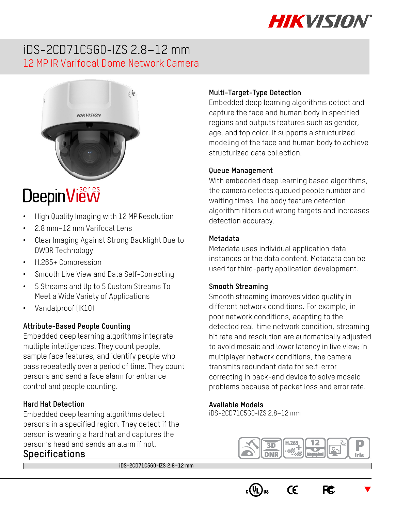

## iDS-2CD71C5G0-IZS 2.8–12 mm 12 MP IR Varifocal Dome Network Camera



# **DeepinView**

- High Quality Imaging with 12 MP Resolution
- 2.8 mm–12 mm Varifocal Lens
- Clear Imaging Against Strong Backlight Due to DWDR Technology
- H.265+ Compression
- Smooth Live View and Data Self-Correcting
- 5 Streams and Up to 5 Custom Streams To Meet a Wide Variety of Applications
- Vandalproof (IK10)

#### **Attribute-Based People Counting**

Embedded deep learning algorithms integrate multiple intelligences. They count people, sample face features, and identify people who pass repeatedly over a period of time. They count persons and send a face alarm for entrance control and people counting.

#### **Hard Hat Detection**

Embedded deep learning algorithms detect persons in a specified region. They detect if the person is wearing a hard hat and captures the person's head and sends an alarm if not. **Specifications**

#### **Multi-Target-Type Detection**

Embedded deep learning algorithms detect and capture the face and human body in specified regions and outputs features such as gender, age, and top color. It supports a structurized modeling of the face and human body to achieve structurized data collection.

#### **Queue Management**

With embedded deep learning based algorithms, the camera detects queued people number and waiting times. The body feature detection algorithm filters out wrong targets and increases detection accuracy.

#### **Metadata**

Metadata uses individual application data instances or the data content. Metadata can be used for third-party application development.

#### **Smooth Streaming**

Smooth streaming improves video quality in different network conditions. For example, in poor network conditions, adapting to the detected real-time network condition, streaming bit rate and resolution are automatically adjusted to avoid mosaic and lower latency in live view; in multiplayer network conditions, the camera transmits redundant data for self-error correcting in back-end device to solve mosaic problems because of packet loss and error rate.

#### **Available Models**

iDS-2CD71C5G0-IZS 2.8–12 mm



**FC** 

 $C\epsilon$ 

 $\blacktriangledown$ 

**iDS-2CD71C5G0-IZS 2.8–12 mm**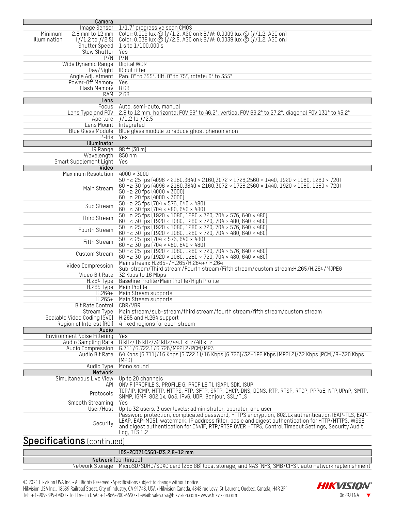| Camera                                      |                                                                                                       |  |  |
|---------------------------------------------|-------------------------------------------------------------------------------------------------------|--|--|
| Image Sensor                                | 1/1.7" progressive scan CMOS                                                                          |  |  |
| $2.8$ mm to $12$ mm<br>Minimum              | Color: 0.009 lux @ $(f/1.2,$ AGC on); B/W: 0.0009 lux @ $(f/1.2,$ AGC on)                             |  |  |
| Illumination<br>$(f/1.2 \text{ to } f/2.5)$ | Color: 0.039 lux @ $(f/2.5,$ AGC on); B/W: 0.0039 lux @ $(f/1.2,$ AGC on)                             |  |  |
| Shutter Speed                               | $1$ s to $1/100,000$ s                                                                                |  |  |
| Slow Shutter                                | Yes                                                                                                   |  |  |
|                                             | $P/N$ $P/N$                                                                                           |  |  |
| Wide Dynamic Range Digital WDR              |                                                                                                       |  |  |
|                                             |                                                                                                       |  |  |
|                                             | Day/Night IR cut filter                                                                               |  |  |
| Angle Adjustment                            | Pan: 0° to 355°, tilt: 0° to 75°, rotate: 0° to 355°                                                  |  |  |
| Power-Off Memory                            | Yes                                                                                                   |  |  |
| Flash Memory                                | 8 <sub>GB</sub>                                                                                       |  |  |
|                                             | RAM 2 GB                                                                                              |  |  |
| Lens                                        |                                                                                                       |  |  |
| Focus                                       | Auto, semi-auto, manual                                                                               |  |  |
| Lens Type and FOV                           | 2.8 to 12 mm, horizontal FOV 96° to 46.2°, vertical FOV 69.2° to 27.2°, diagonal FOV 131° to 45.2°    |  |  |
|                                             | Aperture $f/1.2$ to $f/2.5$                                                                           |  |  |
|                                             |                                                                                                       |  |  |
| Lens Mount Integrated                       |                                                                                                       |  |  |
| Blue Glass Module                           | Blue glass module to reduce ghost phenomenon                                                          |  |  |
| P-Iris                                      | Yes                                                                                                   |  |  |
| Illuminator                                 |                                                                                                       |  |  |
|                                             | IR Range 98 ft (30 m)                                                                                 |  |  |
| Wavelength 850 nm                           |                                                                                                       |  |  |
| Smart Supplement Light                      | Yes                                                                                                   |  |  |
| Video                                       |                                                                                                       |  |  |
|                                             |                                                                                                       |  |  |
| Maximum Resolution                          | $4000 \times 3000$                                                                                    |  |  |
|                                             | 50 Hz: 25 fps (4096 × 2160,3840 × 2160,3072 × 1728,2560 × 1440, 1920 × 1080, 1280 × 720)              |  |  |
| Main Stream                                 | 60 Hz: 30 fps (4096 × 2160,3840 × 2160,3072 × 1728,2560 × 1440, 1920 × 1080, 1280 × 720)              |  |  |
|                                             | 50 Hz: 20 fps (4000 × 3000)                                                                           |  |  |
|                                             | 60 Hz: 20 fps (4000 × 3000)                                                                           |  |  |
|                                             | 50 Hz: 25 fps (704 × 576, 640 × 480)                                                                  |  |  |
| Sub Stream                                  | 60 Hz: 30 fps (704 × 480, 640 × 480)                                                                  |  |  |
|                                             | 50 Hz: 25 fps (1920 × 1080, 1280 × 720, 704 × 576, 640 × 480)                                         |  |  |
| Third Stream                                |                                                                                                       |  |  |
|                                             | 60 Hz: 30 fps (1920 × 1080, 1280 × 720, 704 × 480, 640 × 480)                                         |  |  |
| Fourth Stream                               | 50 Hz: 25 fps (1920 × 1080, 1280 × 720, 704 × 576, 640 × 480)                                         |  |  |
|                                             | 60 Hz: 30 fps (1920 × 1080, 1280 × 720, 704 × 480, 640 × 480)                                         |  |  |
|                                             | 50 Hz: 25 fps $(704 \times 576, 640 \times 480)$                                                      |  |  |
| Fifth Stream                                | 60 Hz: 30 fps (704 × 480, 640 × 480)                                                                  |  |  |
|                                             | 50 Hz: 25 fps (1920 × 1080, 1280 × 720, 704 × 576, 640 × 480)                                         |  |  |
| Custom Stream                               | 60 Hz: 30 fps (1920 × 1080, 1280 × 720, 704 × 480, 640 × 480)                                         |  |  |
|                                             | Main stream: H.265+/H.265/H.264+/ H.264                                                               |  |  |
| Video Compression                           |                                                                                                       |  |  |
|                                             | Sub-stream/Third stream/Fourth stream/Fifth stream/custom stream:H.265/H.264/MJPEG                    |  |  |
| Video Bit Rate                              | 32 Kbps to 16 Mbps                                                                                    |  |  |
| <b>H.264 Type</b>                           | Baseline Profile/Main Profile/High Profile                                                            |  |  |
| <b>H.265 Type</b>                           | Main Profile                                                                                          |  |  |
| $H.264+$                                    | Main Stream supports                                                                                  |  |  |
| $H.265+$                                    | Main Stream supports                                                                                  |  |  |
| Bit Rate Control                            |                                                                                                       |  |  |
|                                             | CBR/VBR                                                                                               |  |  |
| <b>Stream Type</b>                          | Main stream/sub-stream/third stream/fourth stream/fifth stream/custom stream                          |  |  |
| Scalable Video Coding (SVC)                 | H.265 and H.264 support                                                                               |  |  |
| Region of Interest (ROI)                    | 4 fixed regions for each stream                                                                       |  |  |
| Audio                                       |                                                                                                       |  |  |
| Environment Noise Filtering                 | Yes                                                                                                   |  |  |
| Audio Sampling Rate                         | 8 kHz/16 kHz/32 kHz/44.1 kHz/48 kHz                                                                   |  |  |
| Audio Compression                           | G.711/G.722.1/G.726/MP2L2/PCM/MP3                                                                     |  |  |
|                                             |                                                                                                       |  |  |
| Audio Bit Rate                              | 64 Kbps (6.711)/16 Kbps (6.722.1)/16 Kbps (6.726)/32-192 Kbps (MP2L2)/32 Kbps (PCM)/8-320 Kbps        |  |  |
|                                             | (MP3)                                                                                                 |  |  |
| Audio Type                                  | Mono sound                                                                                            |  |  |
| Network                                     |                                                                                                       |  |  |
| Simultaneous Live View                      | Up to 20 channels                                                                                     |  |  |
| API                                         | ONVIF (PROFILE S, PROFILE G, PROFILE T), ISAPI, SDK, ISUP                                             |  |  |
|                                             | TCP/IP, ICMP, HTTP, HTTPS, FTP, SFTP, SRTP, DHCP, DNS, DDNS, RTP, RTSP, RTCP, PPPoE, NTP, UPnP, SMTP, |  |  |
| Protocols                                   | SNMP, IGMP, 802.1x, QoS, IPv6, UDP, Bonjour, SSL/TLS                                                  |  |  |
|                                             |                                                                                                       |  |  |
| Smooth Streaming                            | Yes                                                                                                   |  |  |
| User/Host                                   | Up to 32 users. 3 user levels: administrator, operator, and user                                      |  |  |
|                                             | Password protection, complicated password, HTTPS encryption, 802.1x authentication (EAP-TLS, EAP-     |  |  |
|                                             | LEAP, EAP-MD5), watermark, IP address filter, basic and digest authentication for HTTP/HTTPS, WSSE    |  |  |
| Security                                    | and digest authentication for ONVIF, RTP/RTSP OVER HTTPS, Control Timeout Settings, Security Audit    |  |  |
|                                             | Log, TLS $1.2$                                                                                        |  |  |
|                                             |                                                                                                       |  |  |
| <b>Specifications (continued)</b>           |                                                                                                       |  |  |
|                                             |                                                                                                       |  |  |

| iDS-2CD71C5G0-IZS 2.8-12 mm                                                                                        |
|--------------------------------------------------------------------------------------------------------------------|
| <b>Network</b> (continued)                                                                                         |
| Network Storage MicroSD/SDHC/SDXC card (256 GB) local storage, and NAS (NFS, SMB/CIFS), auto network replenishment |

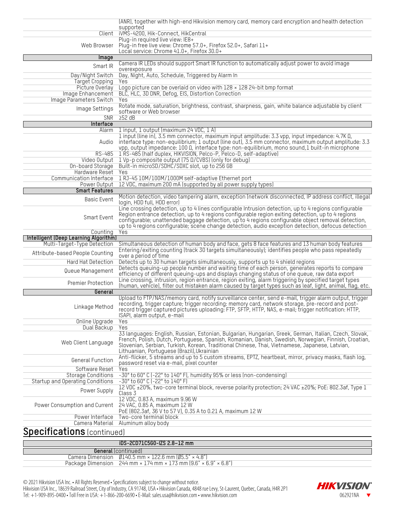|                                                                | (ANR), together with high-end Hikvision memory card, memory card encryption and health detection                                                                                                                                                                                                                                                               |  |  |  |
|----------------------------------------------------------------|----------------------------------------------------------------------------------------------------------------------------------------------------------------------------------------------------------------------------------------------------------------------------------------------------------------------------------------------------------------|--|--|--|
| Client                                                         | supported<br>iVMS-4200, Hik-Connect, HikCentral                                                                                                                                                                                                                                                                                                                |  |  |  |
|                                                                | Plug-in required live view: IE8+                                                                                                                                                                                                                                                                                                                               |  |  |  |
| Web Browser                                                    | Plug-in free live view: Chrome 57.0+, Firefox 52.0+, Safari 11+<br>Local service: Chrome 41.0+, Firefox 30.0+                                                                                                                                                                                                                                                  |  |  |  |
| Image                                                          |                                                                                                                                                                                                                                                                                                                                                                |  |  |  |
| Smart IR                                                       | Camera IR LEDs should support Smart IR function to automatically adjust power to avoid image                                                                                                                                                                                                                                                                   |  |  |  |
| Day/Night Switch                                               | overexposure<br>Day, Night, Auto, Schedule, Triggered by Alarm In                                                                                                                                                                                                                                                                                              |  |  |  |
| <b>Target Cropping</b>                                         | Yes                                                                                                                                                                                                                                                                                                                                                            |  |  |  |
| Picture Overlay<br>Image Enhancement                           | Logo picture can be overlaid on video with $128 \times 128$ 24-bit bmp format                                                                                                                                                                                                                                                                                  |  |  |  |
| Image Parameters Switch                                        | BLC, HLC, 3D DNR, Defog, EIS, Distortion Correction<br>Yes                                                                                                                                                                                                                                                                                                     |  |  |  |
| Image Settings                                                 | Rotate mode, saturation, brightness, contrast, sharpness, gain, white balance adjustable by client<br>software or Web browser                                                                                                                                                                                                                                  |  |  |  |
| SNR                                                            | 252 dB                                                                                                                                                                                                                                                                                                                                                         |  |  |  |
| Interface<br>Alarm                                             | 1 input, 1 output (maximum 24 VDC, 1 A)                                                                                                                                                                                                                                                                                                                        |  |  |  |
| Audio                                                          | 1 input (line in), 3.5 mm connector, maximum input amplitude: 3.3 vpp, input impedance: 4.7K $\Omega$ ,<br>interface type: non-equilibrium; 1 output (line out), 3.5 mm connector, maximum output amplitude: 3.3<br>vpp, output impedance: 100 Ω, interface type: non-equilibrium, mono sound, 1 built-in microphone                                           |  |  |  |
| RS-485                                                         | 1 RS-485 (half duplex, HIKVISION, Pelco-P, Pelco-D, self-adaptive)                                                                                                                                                                                                                                                                                             |  |  |  |
| Video Output<br>On-board Storage                               | 1 Vp-p composite output (75 Ω/CVBS) (only for debug)<br>Built-in microSD/SDHC/SDXC slot, up to 256 GB                                                                                                                                                                                                                                                          |  |  |  |
| Hardware Reset                                                 | Yes                                                                                                                                                                                                                                                                                                                                                            |  |  |  |
| Communication Interface                                        | 1 RJ-45 10M/100M/1000M self-adaptive Ethernet port                                                                                                                                                                                                                                                                                                             |  |  |  |
| Power Output                                                   | 12 VDC, maximum 200 mA (supported by all power supply types)                                                                                                                                                                                                                                                                                                   |  |  |  |
| <b>Smart Features</b>                                          | Motion detection, video tampering alarm, exception (network disconnected, IP address conflict, illegal                                                                                                                                                                                                                                                         |  |  |  |
| Basic Event                                                    | login, HDD full, HDD error)<br>Line crossing detection, up to 4 lines configurable Intrusion detection, up to 4 regions configurable                                                                                                                                                                                                                           |  |  |  |
| Smart Event                                                    | Region entrance detection, up to 4 regions configurable region exiting detection, up to 4 regions<br>configurable; unattended baggage detection, up to 4 regions configurable object removal detection,<br>up to 4 regions configurable, scene change detection, audio exception detection, defocus detection                                                  |  |  |  |
|                                                                |                                                                                                                                                                                                                                                                                                                                                                |  |  |  |
| Counting                                                       | Yes                                                                                                                                                                                                                                                                                                                                                            |  |  |  |
| Intelligent (Deep Learning Algorithm)                          |                                                                                                                                                                                                                                                                                                                                                                |  |  |  |
| Multi-Target-Type Detection<br>Attribute-based People Counting | Simultaneous detection of human body and face, gets 8 face features and 13 human body features<br>Entering/exiting counting (track 30 targets simultaneously); identifies people who pass repeatedly<br>over a period of time                                                                                                                                  |  |  |  |
| Hard Hat Detection                                             | Detects up to 30 human targets simultaneously, supports up to 4 shield regions                                                                                                                                                                                                                                                                                 |  |  |  |
| Queue Management                                               | Detects queuing-up people number and waiting time of each person, generates reports to compare<br>efficiency of different queuing-ups and displays changing status of one queue, raw data export                                                                                                                                                               |  |  |  |
| Premier Protection                                             | Line crossing, intrusion, region entrance, region exiting, alarm triggering by specified target types                                                                                                                                                                                                                                                          |  |  |  |
| General                                                        | (human, vehicle), filter out mistaken alarm caused by target types such as leaf, light, animal, flag, etc.                                                                                                                                                                                                                                                     |  |  |  |
| Linkage Method                                                 | Upload to FTP/NAS/memory card, notify surveillance center, send e-mail, trigger alarm output, trigger<br>recording, trigger capture; trigger recording: memory card, network storage, pre-record and post-<br>record trigger captured pictures uploading: FTP, SFTP, HTTP, NAS, e-mail; trigger notification: HTTP,<br>ISAPI, alarm output, e-mail             |  |  |  |
| <b>Online Upgrade</b>                                          | Yes                                                                                                                                                                                                                                                                                                                                                            |  |  |  |
| Dual Backup                                                    | Yes                                                                                                                                                                                                                                                                                                                                                            |  |  |  |
| Web Client Language                                            | 33 languages: English, Russian, Estonian, Bulgarian, Hungarian, Greek, German, Italian, Czech, Slovak,<br>French, Polish, Dutch, Portuguese, Spanish, Romanian, Danish, Swedish, Norwegian, Finnish, Croatian,<br>Slovenian, Serbian, Turkish, Korean, Traditional Chinese, Thai, Vietnamese, Japanese, Latvian,<br>Lithuanian, Portuguese (Brazil), Ukrainian |  |  |  |
| General Function                                               | Anti-flicker, 5 streams and up to 5 custom streams, EPTZ, heartbeat, mirror, privacy masks, flash log,                                                                                                                                                                                                                                                         |  |  |  |
| Software Reset                                                 | password reset via e-mail, pixel counter<br>Yes                                                                                                                                                                                                                                                                                                                |  |  |  |
| <b>Storage Conditions</b>                                      | -30° to 60° C (-22° to 140° F), humidity 95% or less (non-condensing)                                                                                                                                                                                                                                                                                          |  |  |  |
| Startup and Operating Conditions                               | -30° to 60° C (-22° to 140° F)                                                                                                                                                                                                                                                                                                                                 |  |  |  |
| Power Supply                                                   | 12 VDC ±20%, two-core terminal block, reverse polarity protection; 24 VAC ±20%; PoE: 802.3af, Type 1<br>Class 3                                                                                                                                                                                                                                                |  |  |  |
| Power Consumption and Current                                  | 12 VDC, 0.83 A, maximum 9.96 W<br>24 VAC, 0.85 A, maximum 12 W                                                                                                                                                                                                                                                                                                 |  |  |  |
| Power Interface                                                | PoE (802.3af, 36 V to 57 V), 0.35 A to 0.21 A, maximum 12 W<br>Two-core terminal block                                                                                                                                                                                                                                                                         |  |  |  |
| Camera Material<br><b>Specifications (continued)</b>           | Aluminum alloy body                                                                                                                                                                                                                                                                                                                                            |  |  |  |

| iDS-2CD71C5G0-IZS 2.8-12 mm                                                                 |
|---------------------------------------------------------------------------------------------|
| <b>General</b> (continued)                                                                  |
| Camera Dimension $0140.5$ mm $\times$ 122.6 mm (05.5" $\times$ 4.8")                        |
| Package Dimension $244$ mm $\times$ 174 mm $\times$ 173 mm $(9.6" \times 6.9" \times 6.8")$ |

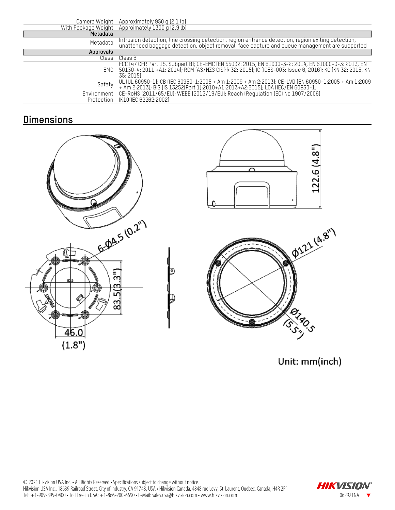| Camera Weight       | Approximately 950 g (2.1 lb)                                                                                                                                                                                                 |
|---------------------|------------------------------------------------------------------------------------------------------------------------------------------------------------------------------------------------------------------------------|
| With Package Weight | Approimately 1300 g (2.9 lb)                                                                                                                                                                                                 |
| Metadata            |                                                                                                                                                                                                                              |
| Metadata            | Intrusion detection, line crossing detection, region entrance detection, region exiting detection,<br>unattended baggage detection, object removal, face capture and queue management are supported                          |
| Approvals           |                                                                                                                                                                                                                              |
| Class               | Class B                                                                                                                                                                                                                      |
| EMC                 | FCC (47 CFR Part 15, Subpart B); CE-EMC (EN 55032: 2015, EN 61000-3-2: 2014, EN 61000-3-3: 2013, EN<br>50130-4: 2011 +A1: 2014); RCM (AS/NZS CISPR 32: 2015); IC (ICES-003: Issue 6, 2016); KC (KN 32: 2015, KN<br>35: 2015) |
| Safety              | UL (UL 60950-1); CB (IEC 60950-1:2005 + Am 1:2009 + Am 2:2013); CE-LVD (EN 60950-1:2005 + Am 1:2009<br>+ Am 2:2013); BIS (IS 13252(Part 1):2010+A1:2013+A2:2015); LOA (IEC/EN 60950-1)                                       |
| Environment         | CE-RoHS (2011/65/EU); WEEE (2012/19/EU); Reach (Regulation (EC) No 1907/2006)                                                                                                                                                |
| Protection          | IK10IIEC 62262:20021                                                                                                                                                                                                         |

## **Dimensions**







Unit: mm(inch)